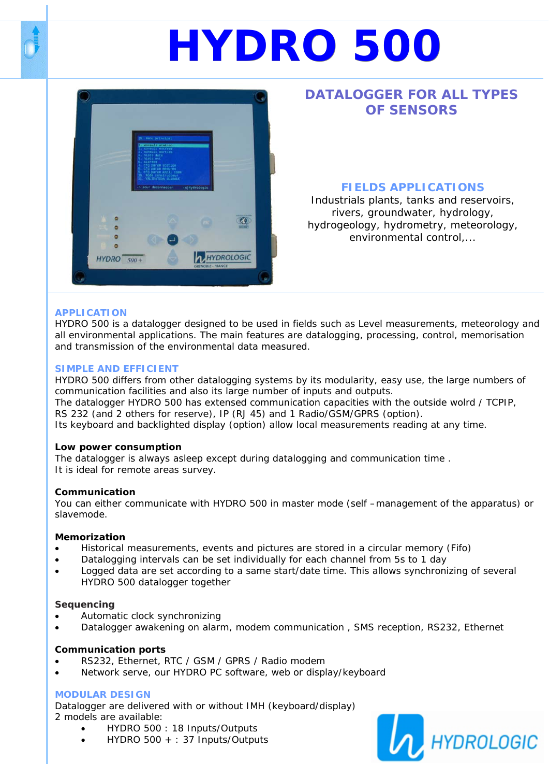# **HYDRO 500**



# **DATALOGGER FOR ALL TYPES OF SENSORS**

# **FIELDS APPLICATIONS**

Industrials plants, tanks and reservoirs, rivers, groundwater, hydrology, hydrogeology, hydrometry, meteorology, environmental control,...

## **APPLICATION**

HYDRO 500 is a datalogger designed to be used in fields such as Level measurements, meteorology and all environmental applications. The main features are datalogging, processing, control, memorisation and transmission of the environmental data measured.

### **SIMPLE AND EFFICIENT**

HYDRO 500 differs from other datalogging systems by its modularity, easy use, the large numbers of communication facilities and also its large number of inputs and outputs.

The datalogger HYDRO 500 has extensed communication capacities with the outside wolrd / TCPIP, RS 232 (and 2 others for reserve), IP (RJ 45) and 1 Radio/GSM/GPRS (option).

Its keyboard and backlighted display (option) allow local measurements reading at any time.

#### **Low power consumption**

The datalogger is always asleep except during datalogging and communication time . It is ideal for remote areas survey.

#### **Communication**

You can either communicate with HYDRO 500 in master mode (self –management of the apparatus) or slavemode.

#### **Memorization**

- Historical measurements, events and pictures are stored in a circular memory (Fifo)
- Datalogging intervals can be set individually for each channel from 5s to 1 day
- Logged data are set according to a same start/date time. This allows synchronizing of several HYDRO 500 datalogger together

#### **Sequencing**

- Automatic clock synchronizing
- Datalogger awakening on alarm, modem communication , SMS reception, RS232, Ethernet

#### **Communication ports**

- RS232, Ethernet, RTC / GSM / GPRS / Radio modem
- Network serve, our HYDRO PC software, web or display/keyboard

## **MODULAR DESIGN**

Datalogger are delivered with or without IMH (keyboard/display) 2 models are available:

- HYDRO 500 : 18 Inputs/Outputs
- HYDRO 500 + : 37 Inputs/Outputs